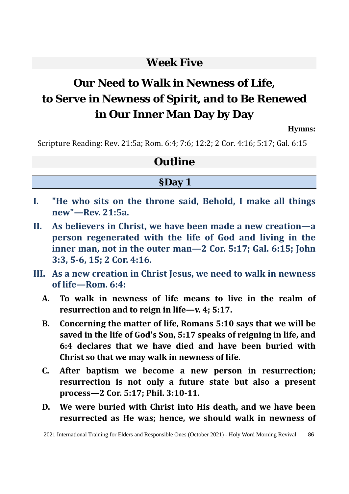# **Week Five**

# **Our Need to Walk in Newness of Life, to Serve in Newness of Spirit, and to Be Renewed in Our Inner Man Day by Day**

**Hymns:**

Scripture Reading: Rev. 21:5a; Rom. 6:4; 7:6; 12:2; 2 Cor. 4:16; 5:17; Gal. 6:15

# **Outline**

# **§Day 1**

- **I. "He who sits on the throne said, Behold, I make all things new"—Rev. 21:5a.**
- **II. As believers in Christ, we have been made a new creation—a person regenerated with the life of God and living in the inner man, not in the outer man—2 Cor. 5:17; Gal. 6:15; John 3:3, 5-6, 15; 2 Cor. 4:16.**
- **III. As a new creation in Christ Jesus, we need to walk in newness of life—Rom. 6:4:**
	- **A. To walk in newness of life means to live in the realm of resurrection and to reign in life—v. 4; 5:17.**
	- **B. Concerning the matter of life, Romans 5:10 says that we will be saved in the life of God's Son, 5:17 speaks of reigning in life, and 6:4 declares that we have died and have been buried with Christ so that we may walk in newness of life.**
	- **C. After baptism we become a new person in resurrection; resurrection is not only a future state but also a present process—2 Cor. 5:17; Phil. 3:10-11.**
	- **D. We were buried with Christ into His death, and we have been resurrected as He was; hence, we should walk in newness of**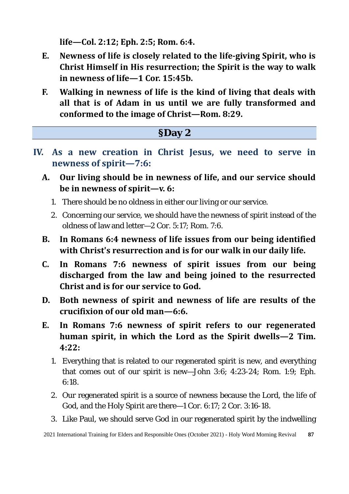**life—Col. 2:12; Eph. 2:5; Rom. 6:4.** 

- **E. Newness of life is closely related to the life-giving Spirit, who is Christ Himself in His resurrection; the Spirit is the way to walk in newness of life—1 Cor. 15:45b.**
- **F. Walking in newness of life is the kind of living that deals with all that is of Adam in us until we are fully transformed and conformed to the image of Christ—Rom. 8:29.**

| SDay 2                                                                                                                             |
|------------------------------------------------------------------------------------------------------------------------------------|
| IV. As a new creation in Christ Jesus, we need to serve in<br>newness of spirit-7:6:                                               |
| Our living should be in newness of life, and our service should<br>A.<br>be in newness of spirit— $v$ . 6:                         |
| 1. There should be no oldness in either our living or our service.                                                                 |
| 2. Concerning our service, we should have the newness of spirit instead of the<br>oldness of law and letter-2 Cor. 5:17; Rom. 7:6. |
| In Romans 6:4 newness of life issues from our being identified<br>В.                                                               |

- **with Christ's resurrection and is for our walk in our daily life. C. In Romans 7:6 newness of spirit issues from our being**
- **discharged from the law and being joined to the resurrected Christ and is for our service to God.**
- **D. Both newness of spirit and newness of life are results of the crucifixion of our old man—6:6.**
- **E. In Romans 7:6 newness of spirit refers to our regenerated human spirit, in which the Lord as the Spirit dwells—2 Tim. 4:22:** 
	- 1. Everything that is related to our regenerated spirit is new, and everything that comes out of our spirit is new—John 3:6; 4:23-24; Rom. 1:9; Eph. 6:18.
	- 2. Our regenerated spirit is a source of newness because the Lord, the life of God, and the Holy Spirit are there—1 Cor. 6:17; 2 Cor. 3:16-18.
	- 3. Like Paul, we should serve God in our regenerated spirit by the indwelling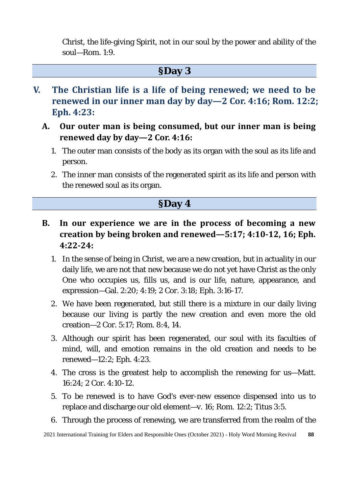Christ, the life-giving Spirit, not in our soul by the power and ability of the soul—Rom. 1:9.

#### **§Day 3**

- **V. The Christian life is a life of being renewed; we need to be renewed in our inner man day by day—2 Cor. 4:16; Rom. 12:2; Eph. 4:23:**
	- **A. Our outer man is being consumed, but our inner man is being renewed day by day—2 Cor. 4:16:** 
		- 1. The outer man consists of the body as its organ with the soul as its life and person.
		- 2. The inner man consists of the regenerated spirit as its life and person with the renewed soul as its organ.

#### **§Day 4**

- **B. In our experience we are in the process of becoming a new creation by being broken and renewed—5:17; 4:10-12, 16; Eph. 4:22-24:** 
	- 1. In the sense of being in Christ, we are a new creation, but in actuality in our daily life, we are not that new because we do not yet have Christ as the only One who occupies us, fills us, and is our life, nature, appearance, and expression—Gal. 2:20; 4:19; 2 Cor. 3:18; Eph. 3:16-17.
	- 2. We have been regenerated, but still there is a mixture in our daily living because our living is partly the new creation and even more the old creation—2 Cor. 5:17; Rom. 8:4, 14.
	- 3. Although our spirit has been regenerated, our soul with its faculties of mind, will, and emotion remains in the old creation and needs to be renewed—12:2; Eph. 4:23.
	- 4. The cross is the greatest help to accomplish the renewing for us—Matt. 16:24; 2 Cor. 4:10-12.
	- 5. To be renewed is to have God's ever-new essence dispensed into us to replace and discharge our old element—v. 16; Rom. 12:2; Titus 3:5.
	- 6. Through the process of renewing, we are transferred from the realm of the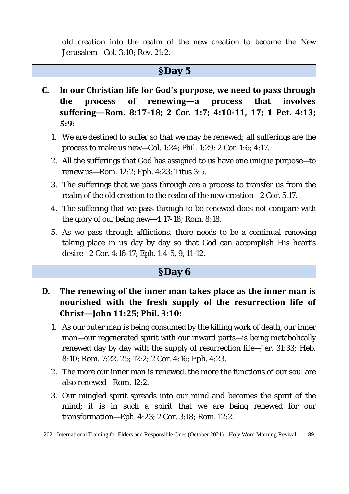old creation into the realm of the new creation to become the New Jerusalem—Col. 3:10; Rev. 21:2.

#### **§Day 5**

- **C. In our Christian life for God's purpose, we need to pass through the process of renewing—a process that involves suffering—Rom. 8:17-18; 2 Cor. 1:7; 4:10-11, 17; 1 Pet. 4:13; 5:9:** 
	- 1. We are destined to suffer so that we may be renewed; all sufferings are the process to make us new—Col. 1:24; Phil. 1:29; 2 Cor. 1:6; 4:17.
	- 2. All the sufferings that God has assigned to us have one unique purpose—to renew us—Rom. 12:2; Eph. 4:23; Titus 3:5.
	- 3. The sufferings that we pass through are a process to transfer us from the realm of the old creation to the realm of the new creation—2 Cor. 5:17.
	- 4. The suffering that we pass through to be renewed does not compare with the glory of our being new—4:17-18; Rom. 8:18.
	- 5. As we pass through afflictions, there needs to be a continual renewing taking place in us day by day so that God can accomplish His heart's desire—2 Cor. 4:16-17; Eph. 1:4-5, 9, 11-12.

#### **§Day 6**

- **D. The renewing of the inner man takes place as the inner man is nourished with the fresh supply of the resurrection life of Christ—John 11:25; Phil. 3:10:** 
	- 1. As our outer man is being consumed by the killing work of death, our inner man—our regenerated spirit with our inward parts—is being metabolically renewed day by day with the supply of resurrection life—Jer. 31:33; Heb. 8:10; Rom. 7:22, 25; 12:2; 2 Cor. 4:16; Eph. 4:23.
	- 2. The more our inner man is renewed, the more the functions of our soul are also renewed—Rom. 12:2.
	- 3. Our mingled spirit spreads into our mind and becomes the spirit of the mind; it is in such a spirit that we are being renewed for our transformation—Eph. 4:23; 2 Cor. 3:18; Rom. 12:2.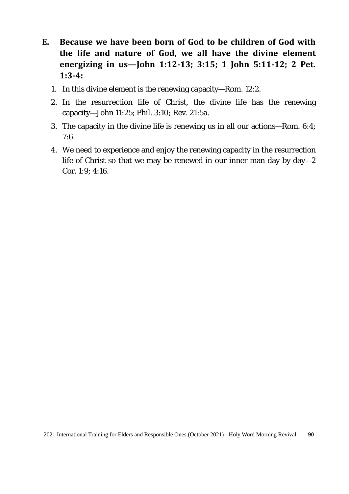- **E. Because we have been born of God to be children of God with the life and nature of God, we all have the divine element energizing in us—John 1:12-13; 3:15; 1 John 5:11-12; 2 Pet. 1:3-4:** 
	- 1. In this divine element is the renewing capacity—Rom. 12:2.
	- 2. In the resurrection life of Christ, the divine life has the renewing capacity—John 11:25; Phil. 3:10; Rev. 21:5a.
	- 3. The capacity in the divine life is renewing us in all our actions—Rom. 6:4; 7:6.
	- 4. We need to experience and enjoy the renewing capacity in the resurrection life of Christ so that we may be renewed in our inner man day by day—2 Cor. 1:9; 4:16.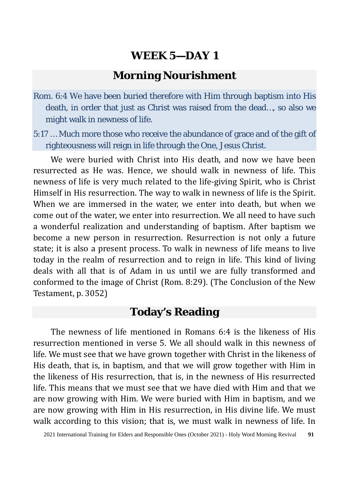# **Morning Nourishment**

- Rom. 6:4 We have been buried therefore with Him through baptism into His death, in order that just as Christ was raised from the dead…, so also we might walk in newness of life.
- 5:17 … Much more those who receive the abundance of grace and of the gift of righteousness will reign in life through the One, Jesus Christ.

We were buried with Christ into His death, and now we have been resurrected as He was. Hence, we should walk in newness of life. This newness of life is very much related to the life-giving Spirit, who is Christ Himself in His resurrection. The way to walk in newness of life is the Spirit. When we are immersed in the water, we enter into death, but when we come out of the water, we enter into resurrection. We all need to have such a wonderful realization and understanding of baptism. After baptism we become a new person in resurrection. Resurrection is not only a future state; it is also a present process. To walk in newness of life means to live today in the realm of resurrection and to reign in life. This kind of living deals with all that is of Adam in us until we are fully transformed and conformed to the image of Christ (Rom. 8:29). (The Conclusion of the New Testament, p. 3052)

# **Today's Reading**

The newness of life mentioned in Romans 6:4 is the likeness of His resurrection mentioned in verse 5. We all should walk in this newness of life. We must see that we have grown together with Christ in the likeness of His death, that is, in baptism, and that we will grow together with Him in the likeness of His resurrection, that is, in the newness of His resurrected life. This means that we must see that we have died with Him and that we are now growing with Him. We were buried with Him in baptism, and we are now growing with Him in His resurrection, in His divine life. We must walk according to this vision; that is, we must walk in newness of life. In

<sup>2021</sup> International Training for Elders and Responsible Ones (October 2021) - Holy Word Morning Revival **91**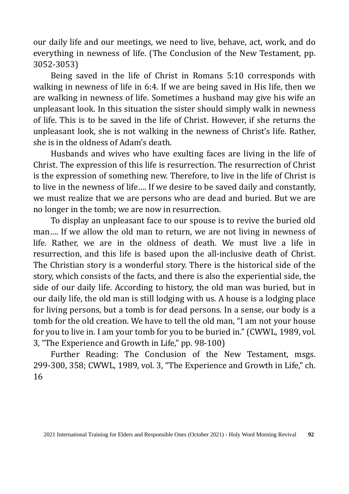our daily life and our meetings, we need to live, behave, act, work, and do everything in newness of life. (The Conclusion of the New Testament, pp. 3052-3053)

Being saved in the life of Christ in Romans 5:10 corresponds with walking in newness of life in 6:4. If we are being saved in His life, then we are walking in newness of life. Sometimes a husband may give his wife an unpleasant look. In this situation the sister should simply walk in newness of life. This is to be saved in the life of Christ. However, if she returns the unpleasant look, she is not walking in the newness of Christ's life. Rather, she is in the oldness of Adam's death.

Husbands and wives who have exulting faces are living in the life of Christ. The expression of this life is resurrection. The resurrection of Christ is the expression of something new. Therefore, to live in the life of Christ is to live in the newness of life…. If we desire to be saved daily and constantly, we must realize that we are persons who are dead and buried. But we are no longer in the tomb; we are now in resurrection.

To display an unpleasant face to our spouse is to revive the buried old man…. If we allow the old man to return, we are not living in newness of life. Rather, we are in the oldness of death. We must live a life in resurrection, and this life is based upon the all-inclusive death of Christ. The Christian story is a wonderful story. There is the historical side of the story, which consists of the facts, and there is also the experiential side, the side of our daily life. According to history, the old man was buried, but in our daily life, the old man is still lodging with us. A house is a lodging place for living persons, but a tomb is for dead persons. In a sense, our body is a tomb for the old creation. We have to tell the old man, "I am not your house for you to live in. I am your tomb for you to be buried in." (CWWL, 1989, vol. 3, "The Experience and Growth in Life," pp. 98-100)

Further Reading: The Conclusion of the New Testament, msgs. 299-300, 358; CWWL, 1989, vol. 3, "The Experience and Growth in Life," ch. 16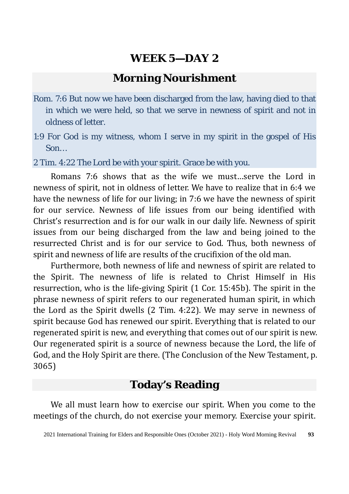# **Morning Nourishment**

- Rom. 7:6 But now we have been discharged from the law, having died to that in which we were held, so that we serve in newness of spirit and not in oldness of letter.
- 1:9 For God is my witness, whom I serve in my spirit in the gospel of His Son…

2 Tim. 4:22 The Lord be with your spirit. Grace be with you.

Romans 7:6 shows that as the wife we must…serve the Lord in newness of spirit, not in oldness of letter. We have to realize that in 6:4 we have the newness of life for our living; in 7:6 we have the newness of spirit for our service. Newness of life issues from our being identified with Christ's resurrection and is for our walk in our daily life. Newness of spirit issues from our being discharged from the law and being joined to the resurrected Christ and is for our service to God. Thus, both newness of spirit and newness of life are results of the crucifixion of the old man.

Furthermore, both newness of life and newness of spirit are related to the Spirit. The newness of life is related to Christ Himself in His resurrection, who is the life-giving Spirit (1 Cor. 15:45b). The spirit in the phrase newness of spirit refers to our regenerated human spirit, in which the Lord as the Spirit dwells (2 Tim. 4:22). We may serve in newness of spirit because God has renewed our spirit. Everything that is related to our regenerated spirit is new, and everything that comes out of our spirit is new. Our regenerated spirit is a source of newness because the Lord, the life of God, and the Holy Spirit are there. (The Conclusion of the New Testament, p. 3065)

# **Today's Reading**

We all must learn how to exercise our spirit. When you come to the meetings of the church, do not exercise your memory. Exercise your spirit.

<sup>2021</sup> International Training for Elders and Responsible Ones (October 2021) - Holy Word Morning Revival **93**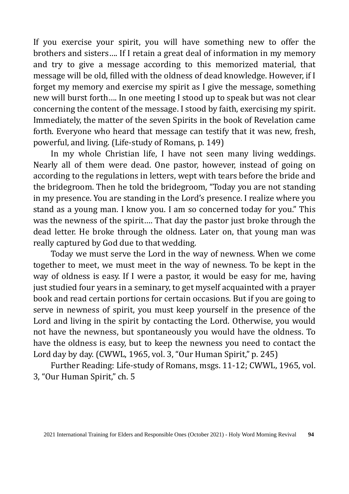If you exercise your spirit, you will have something new to offer the brothers and sisters…. If I retain a great deal of information in my memory and try to give a message according to this memorized material, that message will be old, filled with the oldness of dead knowledge. However, if I forget my memory and exercise my spirit as I give the message, something new will burst forth…. In one meeting I stood up to speak but was not clear concerning the content of the message. I stood by faith, exercising my spirit. Immediately, the matter of the seven Spirits in the book of Revelation came forth. Everyone who heard that message can testify that it was new, fresh, powerful, and living. (Life-study of Romans, p. 149)

In my whole Christian life, I have not seen many living weddings. Nearly all of them were dead. One pastor, however, instead of going on according to the regulations in letters, wept with tears before the bride and the bridegroom. Then he told the bridegroom, "Today you are not standing in my presence. You are standing in the Lord's presence. I realize where you stand as a young man. I know you. I am so concerned today for you." This was the newness of the spirit…. That day the pastor just broke through the dead letter. He broke through the oldness. Later on, that young man was really captured by God due to that wedding.

Today we must serve the Lord in the way of newness. When we come together to meet, we must meet in the way of newness. To be kept in the way of oldness is easy. If I were a pastor, it would be easy for me, having just studied four years in a seminary, to get myself acquainted with a prayer book and read certain portions for certain occasions. But if you are going to serve in newness of spirit, you must keep yourself in the presence of the Lord and living in the spirit by contacting the Lord. Otherwise, you would not have the newness, but spontaneously you would have the oldness. To have the oldness is easy, but to keep the newness you need to contact the Lord day by day. (CWWL, 1965, vol. 3, "Our Human Spirit," p. 245)

Further Reading: Life-study of Romans, msgs. 11-12; CWWL, 1965, vol. 3, "Our Human Spirit," ch. 5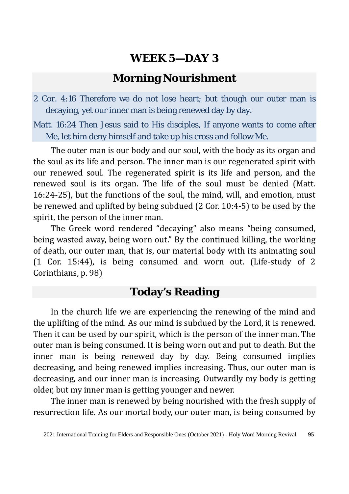# **Morning Nourishment**

2 Cor. 4:16 Therefore we do not lose heart; but though our outer man is decaying, yet our inner man is being renewed day by day.

Matt. 16:24 Then Jesus said to His disciples, If anyone wants to come after Me, let him deny himself and take up his cross and follow Me.

The outer man is our body and our soul, with the body as its organ and the soul as its life and person. The inner man is our regenerated spirit with our renewed soul. The regenerated spirit is its life and person, and the renewed soul is its organ. The life of the soul must be denied (Matt. 16:24-25), but the functions of the soul, the mind, will, and emotion, must be renewed and uplifted by being subdued (2 Cor. 10:4-5) to be used by the spirit, the person of the inner man.

The Greek word rendered "decaying" also means "being consumed, being wasted away, being worn out." By the continued killing, the working of death, our outer man, that is, our material body with its animating soul (1 Cor. 15:44), is being consumed and worn out. (Life-study of 2 Corinthians, p. 98)

# **Today's Reading**

In the church life we are experiencing the renewing of the mind and the uplifting of the mind. As our mind is subdued by the Lord, it is renewed. Then it can be used by our spirit, which is the person of the inner man. The outer man is being consumed. It is being worn out and put to death. But the inner man is being renewed day by day. Being consumed implies decreasing, and being renewed implies increasing. Thus, our outer man is decreasing, and our inner man is increasing. Outwardly my body is getting older, but my inner man is getting younger and newer.

The inner man is renewed by being nourished with the fresh supply of resurrection life. As our mortal body, our outer man, is being consumed by

<sup>2021</sup> International Training for Elders and Responsible Ones (October 2021) - Holy Word Morning Revival **95**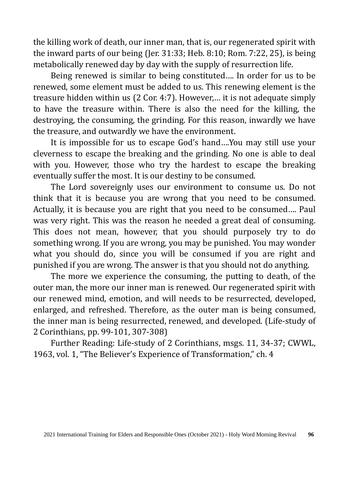the killing work of death, our inner man, that is, our regenerated spirit with the inward parts of our being (Jer. 31:33; Heb. 8:10; Rom. 7:22, 25), is being metabolically renewed day by day with the supply of resurrection life.

Being renewed is similar to being constituted…. In order for us to be renewed, some element must be added to us. This renewing element is the treasure hidden within us (2 Cor. 4:7). However,… it is not adequate simply to have the treasure within. There is also the need for the killing, the destroying, the consuming, the grinding. For this reason, inwardly we have the treasure, and outwardly we have the environment.

It is impossible for us to escape God's hand….You may still use your cleverness to escape the breaking and the grinding. No one is able to deal with you. However, those who try the hardest to escape the breaking eventually suffer the most. It is our destiny to be consumed.

The Lord sovereignly uses our environment to consume us. Do not think that it is because you are wrong that you need to be consumed. Actually, it is because you are right that you need to be consumed…. Paul was very right. This was the reason he needed a great deal of consuming. This does not mean, however, that you should purposely try to do something wrong. If you are wrong, you may be punished. You may wonder what you should do, since you will be consumed if you are right and punished if you are wrong. The answer is that you should not do anything.

The more we experience the consuming, the putting to death, of the outer man, the more our inner man is renewed. Our regenerated spirit with our renewed mind, emotion, and will needs to be resurrected, developed, enlarged, and refreshed. Therefore, as the outer man is being consumed, the inner man is being resurrected, renewed, and developed. (Life-study of 2 Corinthians, pp. 99-101, 307-308)

Further Reading: Life-study of 2 Corinthians, msgs. 11, 34-37; CWWL, 1963, vol. 1, "The Believer's Experience of Transformation," ch. 4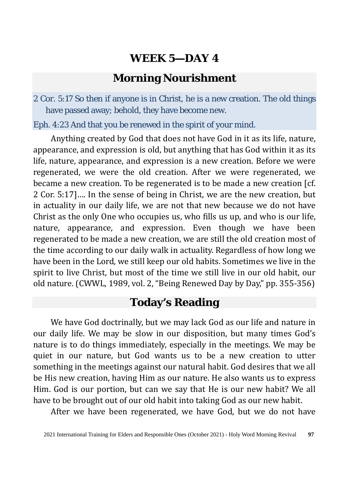# **Morning Nourishment**

2 Cor. 5:17 So then if anyone is in Christ, he is a new creation. The old things have passed away; behold, they have become new.

Eph. 4:23 And that you be renewed in the spirit of your mind.

Anything created by God that does not have God in it as its life, nature, appearance, and expression is old, but anything that has God within it as its life, nature, appearance, and expression is a new creation. Before we were regenerated, we were the old creation. After we were regenerated, we became a new creation. To be regenerated is to be made a new creation [cf. 2 Cor. 5:17]…. In the sense of being in Christ, we are the new creation, but in actuality in our daily life, we are not that new because we do not have Christ as the only One who occupies us, who fills us up, and who is our life, nature, appearance, and expression. Even though we have been regenerated to be made a new creation, we are still the old creation most of the time according to our daily walk in actuality. Regardless of how long we have been in the Lord, we still keep our old habits. Sometimes we live in the spirit to live Christ, but most of the time we still live in our old habit, our old nature. (CWWL, 1989, vol. 2, "Being Renewed Day by Day," pp. 355-356)

# **Today's Reading**

We have God doctrinally, but we may lack God as our life and nature in our daily life. We may be slow in our disposition, but many times God's nature is to do things immediately, especially in the meetings. We may be quiet in our nature, but God wants us to be a new creation to utter something in the meetings against our natural habit. God desires that we all be His new creation, having Him as our nature. He also wants us to express Him. God is our portion, but can we say that He is our new habit? We all have to be brought out of our old habit into taking God as our new habit.

After we have been regenerated, we have God, but we do not have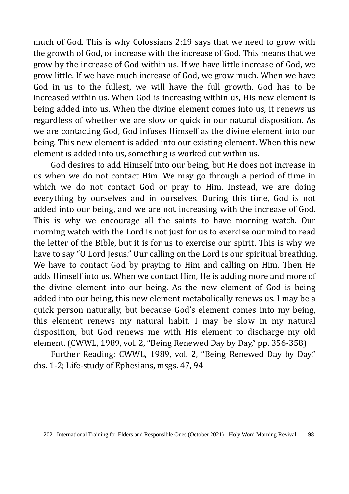much of God. This is why Colossians 2:19 says that we need to grow with the growth of God, or increase with the increase of God. This means that we grow by the increase of God within us. If we have little increase of God, we grow little. If we have much increase of God, we grow much. When we have God in us to the fullest, we will have the full growth. God has to be increased within us. When God is increasing within us, His new element is being added into us. When the divine element comes into us, it renews us regardless of whether we are slow or quick in our natural disposition. As we are contacting God, God infuses Himself as the divine element into our being. This new element is added into our existing element. When this new element is added into us, something is worked out within us.

God desires to add Himself into our being, but He does not increase in us when we do not contact Him. We may go through a period of time in which we do not contact God or pray to Him. Instead, we are doing everything by ourselves and in ourselves. During this time, God is not added into our being, and we are not increasing with the increase of God. This is why we encourage all the saints to have morning watch. Our morning watch with the Lord is not just for us to exercise our mind to read the letter of the Bible, but it is for us to exercise our spirit. This is why we have to say "O Lord Jesus." Our calling on the Lord is our spiritual breathing. We have to contact God by praying to Him and calling on Him. Then He adds Himself into us. When we contact Him, He is adding more and more of the divine element into our being. As the new element of God is being added into our being, this new element metabolically renews us. I may be a quick person naturally, but because God's element comes into my being, this element renews my natural habit. I may be slow in my natural disposition, but God renews me with His element to discharge my old element. (CWWL, 1989, vol. 2, "Being Renewed Day by Day," pp. 356-358)

Further Reading: CWWL, 1989, vol. 2, "Being Renewed Day by Day," chs. 1-2; Life-study of Ephesians, msgs. 47, 94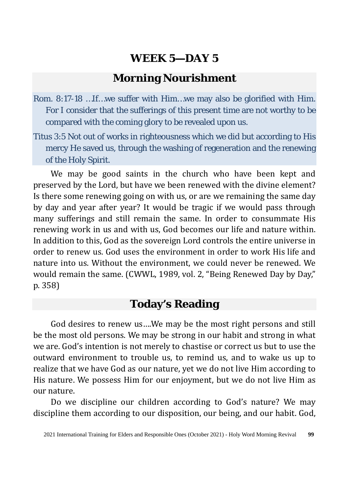# **Morning Nourishment**

- Rom. 8:17-18 …If…we suffer with Him…we may also be glorified with Him. For I consider that the sufferings of this present time are not worthy to be compared with the coming glory to be revealed upon us.
- Titus 3:5 Not out of works in righteousness which we did but according to His mercy He saved us, through the washing of regeneration and the renewing of the Holy Spirit.

We may be good saints in the church who have been kept and preserved by the Lord, but have we been renewed with the divine element? Is there some renewing going on with us, or are we remaining the same day by day and year after year? It would be tragic if we would pass through many sufferings and still remain the same. In order to consummate His renewing work in us and with us, God becomes our life and nature within. In addition to this, God as the sovereign Lord controls the entire universe in order to renew us. God uses the environment in order to work His life and nature into us. Without the environment, we could never be renewed. We would remain the same. (CWWL, 1989, vol. 2, "Being Renewed Day by Day," p. 358)

# **Today's Reading**

God desires to renew us….We may be the most right persons and still be the most old persons. We may be strong in our habit and strong in what we are. God's intention is not merely to chastise or correct us but to use the outward environment to trouble us, to remind us, and to wake us up to realize that we have God as our nature, yet we do not live Him according to His nature. We possess Him for our enjoyment, but we do not live Him as our nature.

Do we discipline our children according to God's nature? We may discipline them according to our disposition, our being, and our habit. God,

<sup>2021</sup> International Training for Elders and Responsible Ones (October 2021) - Holy Word Morning Revival **99**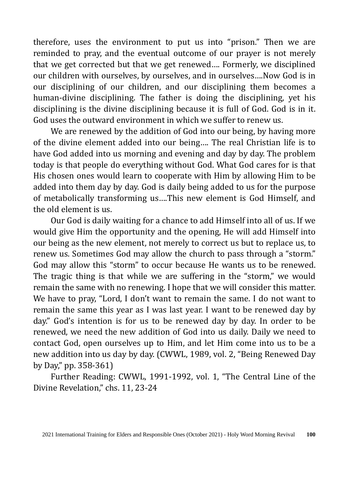therefore, uses the environment to put us into "prison." Then we are reminded to pray, and the eventual outcome of our prayer is not merely that we get corrected but that we get renewed…. Formerly, we disciplined our children with ourselves, by ourselves, and in ourselves….Now God is in our disciplining of our children, and our disciplining them becomes a human-divine disciplining. The father is doing the disciplining, yet his disciplining is the divine disciplining because it is full of God. God is in it. God uses the outward environment in which we suffer to renew us.

We are renewed by the addition of God into our being, by having more of the divine element added into our being…. The real Christian life is to have God added into us morning and evening and day by day. The problem today is that people do everything without God. What God cares for is that His chosen ones would learn to cooperate with Him by allowing Him to be added into them day by day. God is daily being added to us for the purpose of metabolically transforming us….This new element is God Himself, and the old element is us.

Our God is daily waiting for a chance to add Himself into all of us. If we would give Him the opportunity and the opening, He will add Himself into our being as the new element, not merely to correct us but to replace us, to renew us. Sometimes God may allow the church to pass through a "storm." God may allow this "storm" to occur because He wants us to be renewed. The tragic thing is that while we are suffering in the "storm," we would remain the same with no renewing. I hope that we will consider this matter. We have to pray, "Lord, I don't want to remain the same. I do not want to remain the same this year as I was last year. I want to be renewed day by day." God's intention is for us to be renewed day by day. In order to be renewed, we need the new addition of God into us daily. Daily we need to contact God, open ourselves up to Him, and let Him come into us to be a new addition into us day by day. (CWWL, 1989, vol. 2, "Being Renewed Day by Day," pp. 358-361)

Further Reading: CWWL, 1991-1992, vol. 1, "The Central Line of the Divine Revelation," chs. 11, 23-24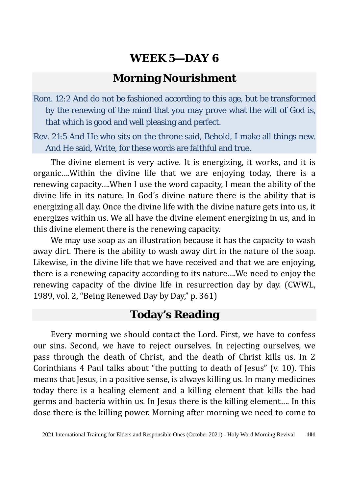### **Morning Nourishment**

Rom. 12:2 And do not be fashioned according to this age, but be transformed by the renewing of the mind that you may prove what the will of God is, that which is good and well pleasing and perfect.

Rev. 21:5 And He who sits on the throne said, Behold, I make all things new. And He said, Write, for these words are faithful and true.

The divine element is very active. It is energizing, it works, and it is organic….Within the divine life that we are enjoying today, there is a renewing capacity….When I use the word capacity, I mean the ability of the divine life in its nature. In God's divine nature there is the ability that is energizing all day. Once the divine life with the divine nature gets into us, it energizes within us. We all have the divine element energizing in us, and in this divine element there is the renewing capacity.

We may use soap as an illustration because it has the capacity to wash away dirt. There is the ability to wash away dirt in the nature of the soap. Likewise, in the divine life that we have received and that we are enjoying, there is a renewing capacity according to its nature….We need to enjoy the renewing capacity of the divine life in resurrection day by day. (CWWL, 1989, vol. 2, "Being Renewed Day by Day," p. 361)

# **Today's Reading**

Every morning we should contact the Lord. First, we have to confess our sins. Second, we have to reject ourselves. In rejecting ourselves, we pass through the death of Christ, and the death of Christ kills us. In 2 Corinthians 4 Paul talks about "the putting to death of Jesus" (v. 10). This means that Jesus, in a positive sense, is always killing us. In many medicines today there is a healing element and a killing element that kills the bad germs and bacteria within us. In Jesus there is the killing element…. In this dose there is the killing power. Morning after morning we need to come to

<sup>2021</sup> International Training for Elders and Responsible Ones (October 2021) - Holy Word Morning Revival **101**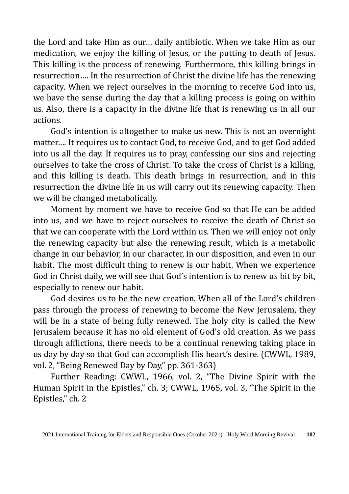the Lord and take Him as our… daily antibiotic. When we take Him as our medication, we enjoy the killing of Jesus, or the putting to death of Jesus. This killing is the process of renewing. Furthermore, this killing brings in resurrection…. In the resurrection of Christ the divine life has the renewing capacity. When we reject ourselves in the morning to receive God into us, we have the sense during the day that a killing process is going on within us. Also, there is a capacity in the divine life that is renewing us in all our actions.

God's intention is altogether to make us new. This is not an overnight matter…. It requires us to contact God, to receive God, and to get God added into us all the day. It requires us to pray, confessing our sins and rejecting ourselves to take the cross of Christ. To take the cross of Christ is a killing, and this killing is death. This death brings in resurrection, and in this resurrection the divine life in us will carry out its renewing capacity. Then we will be changed metabolically.

Moment by moment we have to receive God so that He can be added into us, and we have to reject ourselves to receive the death of Christ so that we can cooperate with the Lord within us. Then we will enjoy not only the renewing capacity but also the renewing result, which is a metabolic change in our behavior, in our character, in our disposition, and even in our habit. The most difficult thing to renew is our habit. When we experience God in Christ daily, we will see that God's intention is to renew us bit by bit, especially to renew our habit.

God desires us to be the new creation. When all of the Lord's children pass through the process of renewing to become the New Jerusalem, they will be in a state of being fully renewed. The holy city is called the New Jerusalem because it has no old element of God's old creation. As we pass through afflictions, there needs to be a continual renewing taking place in us day by day so that God can accomplish His heart's desire. (CWWL, 1989, vol. 2, "Being Renewed Day by Day," pp. 361-363)

Further Reading: CWWL, 1966, vol. 2, "The Divine Spirit with the Human Spirit in the Epistles," ch. 3; CWWL, 1965, vol. 3, "The Spirit in the Epistles," ch. 2